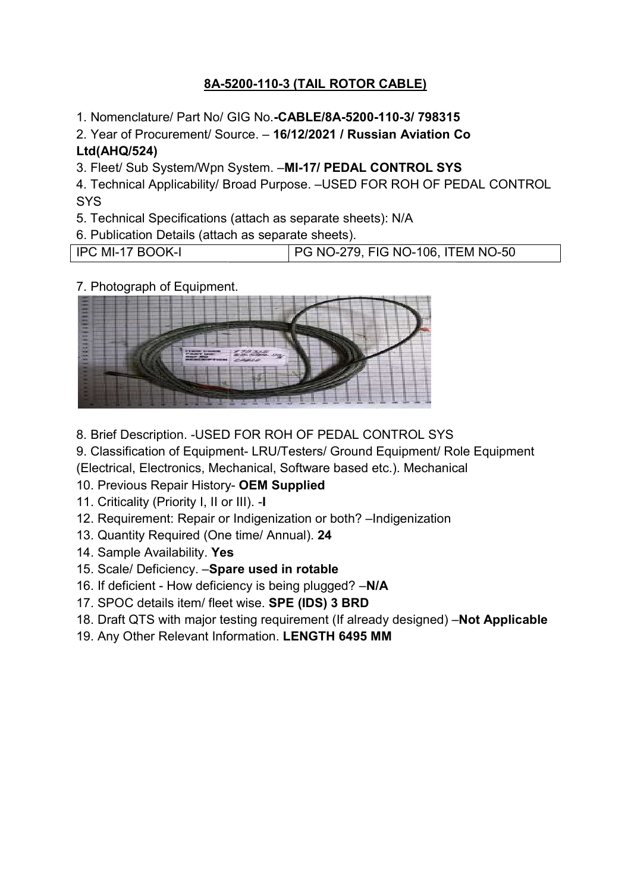# <u>8A-5200-110-3 (TAIL ROTOR CABLE)</u>

1. Nomenclature/ Part No/ GIG No.-CABLE/8A-5200-110-3/ 798315

2. Year of Procurement/ Source. - 16/12/2021 / Russian Aviation Co Ltd(AHQ/524) 1. Nomenclature/ Part No/ GIG No.**-CABLE/8A-5200-110-3/ 798315**<br>2. Year of Procurement/ Source. – **16/12/2021 / Russian Aviation C**<br>**Ltd(AHQ/524)**<br>3. Fleet/ Sub System/Wpn System. –**MI-17/ PEDAL CONTROL SYS** 

4. Technical Applicability/ Broad Purpose. –USED FOR ROH OF PEDAL CONTROL **SYS** 

6. Publication Details (attach as separate sheets).

5. Technical Specifications (attach as separate sheets): N/A<br>6. Publication Details (attach as separate sheets).<br>IPC MI-17 BOOK-I PG NO-279, FIG NO-106, ITEM NO-IPC MI-17 BOOK-I PG NO-279, FIG NO-106, ITEM NO-50

7. Photograph of Equipment.



8. Brief Description. -USED FOR ROH OF PEDAL CONTROL SYS

9. Classification of Equipment- LRU/Testers/ Ground Equipment/ Role Equipment

(Electrical, Electronics, Mechanical, Software based etc.). Mechanical<br>10. Previous Repair History- **OEM Supplied** 

10. Previous Repair History- OEM Supplied

11. Criticality (Priority I, II or III). -I

12. Requirement: Repair or Indigenization or both? - Indigenization

- 13. Quantity Required (One time/ Annual). 24
- 14. Sample Availability. Yes
- 14. Sample Availability. **Yes**<br>15. Scale/ Deficiency. –**Spare used in rotable**
- 16. If deficient How deficiency is being plugged? -N/A
- 17. SPOC details item/ fleet wise. SPE (IDS) 3 BRD
- 18. Draft QTS with major testing requirement (If already designed) **Not Applicable**
- 19. Any Other Relevant Information. LENGTH 6495 MM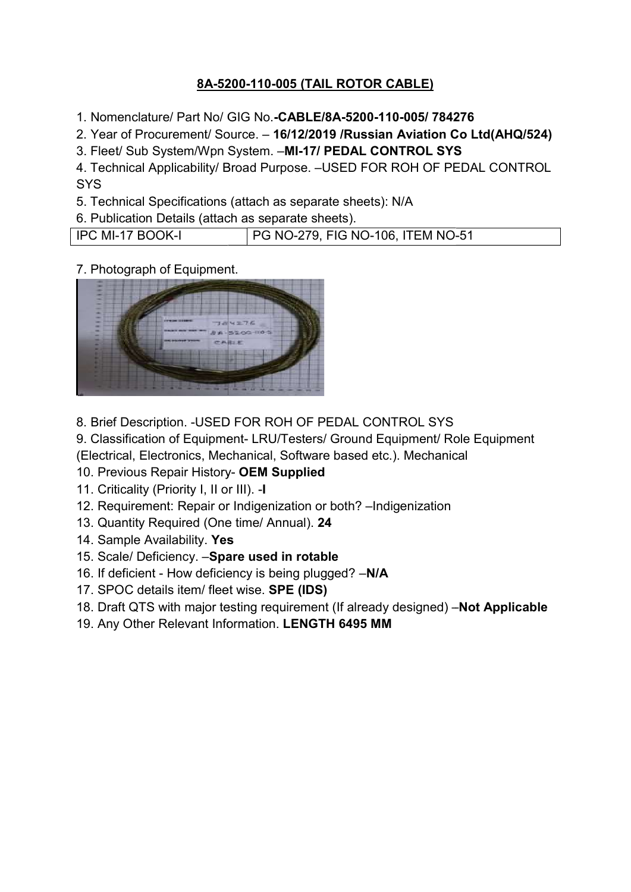# <u>8A-5200-110-005 (TAIL ROTOR CABLE)</u>

1. Nomenclature/ Part No/ GIG No.-CABLE/8A-5200-110-005/ 784276

2. Year of Procurement/ Source. - 16/12/2019 /Russian Aviation Co Ltd(AHQ/524) 3LE/8A-5200-110-005/<br>!/2019 /Russian Aviati<br>17/ PEDAL CONTROL

3. Fleet/ Sub System/Wpn System. -MI-17/ PEDAL CONTROL SYS

4. Technical Applicability/ Broad Purpose. –USED FOR ROH OF PEDAL CONTROL<br>SYS<br>5. Technical Specifications (attach as separate sheets): N/A<br>6. Publication Details (attach as separate sheets).<br>IPC MI-17 BOOK-I | PG NO-279, F **SYS** 

| 5. Technical Specifications (attach as separate sheets): N/A |                                   |  |
|--------------------------------------------------------------|-----------------------------------|--|
| 6. Publication Details (attach as separate sheets).          |                                   |  |
| <b>IPC MI-17 BOOK-I</b>                                      | PG NO-279, FIG NO-106, ITEM NO-51 |  |

7. Photograph of Equipment.



8. Brief Description. -USED FOR ROH OF PEDAL CONTROL SYS

9. Classification of Equipment- LRU/Testers/ Ground Equipment/ Role Equipment

(Electrical, Electronics, Mechanical, Software based etc.). Mechanical<br>10. Previous Repair History- **OEM Supplied** 

10. Previous Repair History- OEM Supplied

11. Criticality (Priority I, II or III). -I

- 12. Requirement: Repair or Indigenization or both? Indigenization
- 13. Quantity Required (One time/ Annual). 24
- 14. Sample Availability. Yes
- 14. Sample Availability. **Yes**<br>15. Scale/ Deficiency. –**Spare used in rotable**
- 16. If deficient How deficiency is being plugged? -N/A
- 17. SPOC details item/ fleet wise. SPE (IDS)
- 18. Draft QTS with major testing requirement (If already designed) **Not Applicable**
- 19. Any Other Relevant Information. LENGTH 6495 MM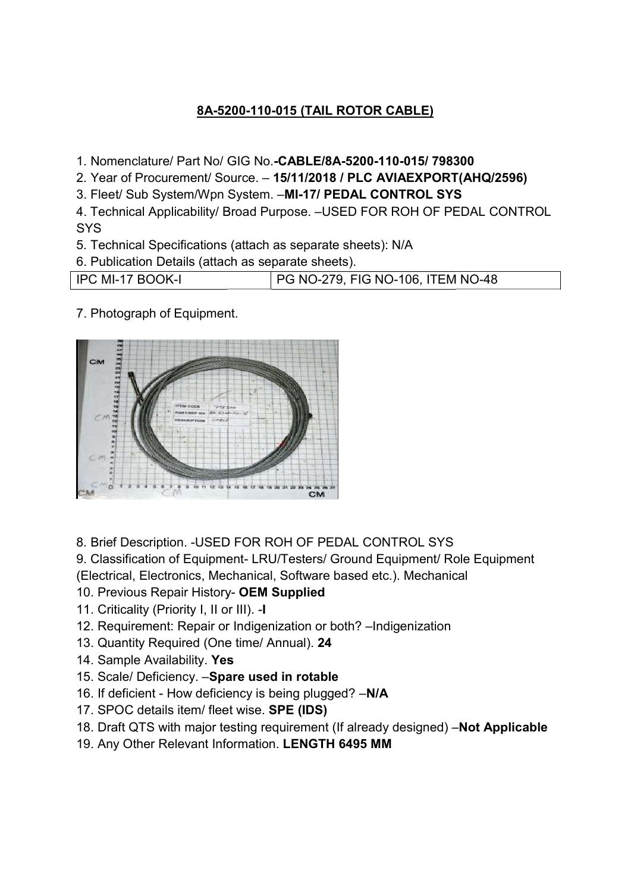### 8A-5200 5200-110-015 (TAIL ROTOR CABLE)

- 1. Nomenclature/ Part No/ GIG Nomenclature/ GIG No.-CABLE/8A-5200-110-015/ 798300
- 2. Year of Procurement/ Source. 15/11/2018 / PLC AVIAEXPORT(AHQ/2596) 1. Nomenclature/ Part No/ GIG No.**-CABLE/8A-5200-110-015/ 79830**<br>2. Year of Procurement/ Source. – **15/11/2018 / PLC AVIAEXPORT(**<br>3. Fleet/ Sub System/Wpn System. –**MI-17/ PEDAL CONTROL SYS**
- 
- 4. Technical Applicability/ Broad Purpose. –USED FOR ROH OF PEDAL CONTROL<br>SYS<br>5. Technical Specifications (attach as separate sheets): N/A<br>6. Publication Details (attach as separate sheets).<br>IPC MI-17 BOOK-I PG NO-279, FIG **SYS**
- 5. Technical Specifications (attach as separate sheets): N/A
- 

| 6. Publication Details (attach as separate sheets). |                                          |  |
|-----------------------------------------------------|------------------------------------------|--|
| IPC MI-17 BOOK-I                                    | <b>PG NO-279, FIG NO-106, ITEM NO-48</b> |  |

7. Photograph of Equipment.



- 8. Brief Description. -USED FOR ROH OF PEDAL CONTROL SYS
- 9. Classification of Equipment- LRU/Testers/ Ground Equipment/ Role Equipment
- (Electrical, Electronics, Mechanical, Software based etc.). Mechanical<br>10. Previous Repair History- **OEM Supplied**
- 10. Previous Repair History- OEM Supplied
- 11. Criticality (Priority I, II or III). -I
- 12. Requirement: Repair or Indigenization or both? Indigenization
- 13. Quantity Required (One time/ Annual). 24
- 14. Sample Availability. Yes
- 14. Sample Availability. **Yes**<br>15. Scale/ Deficiency. –**Spare used in rotable**
- 16. If deficient How deficiency is being plugged? -N/A
- 17. SPOC details item/ fleet wise. SPE (IDS)
- 18. Draft QTS with major testing requirement (If already designed) **Not Applicable**
- 19. Any Other Relevant Information. LENGTH 6495 MM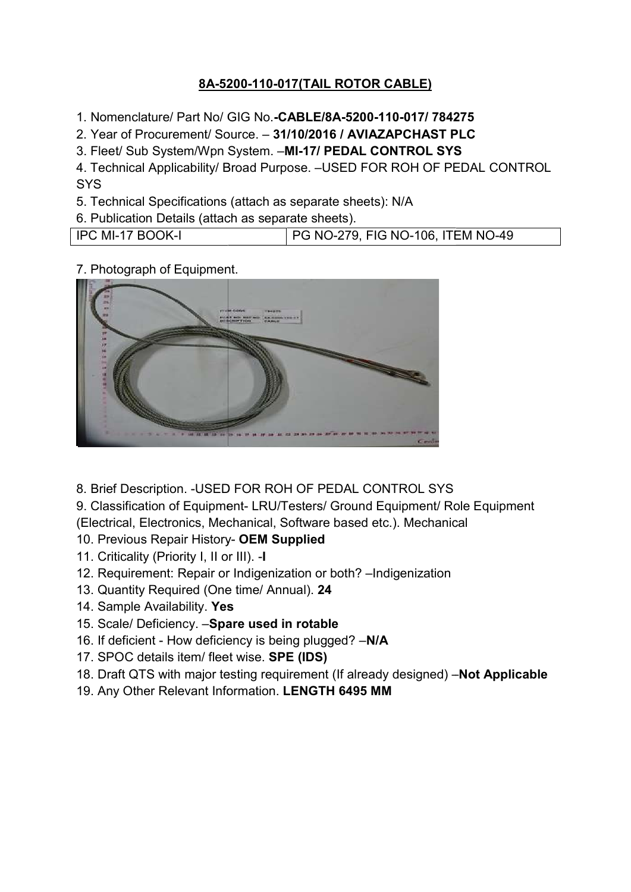## <u>8A-5200-110-017(TAIL ROTOR CABLE)</u>

1. Nomenclature/ Part No/ GIG No.-CABLE/8A-5200-110-017/ 784275

2. Year of Procurement/ Source. - 31/10/2016 / AVIAZAPCHAST PLC 3LE/8A-5200-110-017/<br>)/2016 / AVIAZAPCHA<br>17/ PEDAL CONTROL

3. Fleet/ Sub System/Wpn System. -MI-17/ PEDAL CONTROL SYS

4. Technical Applicability/ Broad Purpose. –USED FOR ROH OF PEDAL CONTROL<br>SYS<br>5. Technical Specifications (attach as separate sheets): N/A<br>6. Publication Details (attach as separate sheets).<br>IPC MI-17 BOOK-I PG NO-279, FIG **SYS** 

5. Technical Specifications (attach as separate sheets): N/A

| 6. Publication Details (attach as separate sheets). |                                   |  |
|-----------------------------------------------------|-----------------------------------|--|
| IPC MI-17 BOOK-I                                    | PG NO-279, FIG NO-106, ITEM NO-49 |  |

7. Photograph of Equipment.



8. Brief Description. -USED FOR ROH OF PEDAL CONTROL SYS

9. Classification of Equipment- LRU/Testers/ Ground Equipment/ Role Equipment (Electrical, Electronics, Mechanical, Software based etc.). Mechanical<br>10. Previous Repair History- **OEM Supplied** 

- 10. Previous Repair History- OEM Supplied
- 11. Criticality (Priority I, II or III). -I
- 12. Requirement: Repair or Indigenization or both? Indigenization
- 13. Quantity Required (One time/ Annual). 24
- 14. Sample Availability. Yes
- 14. Sample Availability. **Yes**<br>15. Scale/ Deficiency. –**Spare used in rotable**
- 16. If deficient How deficiency is being plugged? -N/A
- 17. SPOC details item/ fleet wise. SPE (IDS)
- 18. Draft QTS with major testing requirement (If already designed) -Not Applicable
- 19. Any Other Relevant Information. LENGTH 6495 MM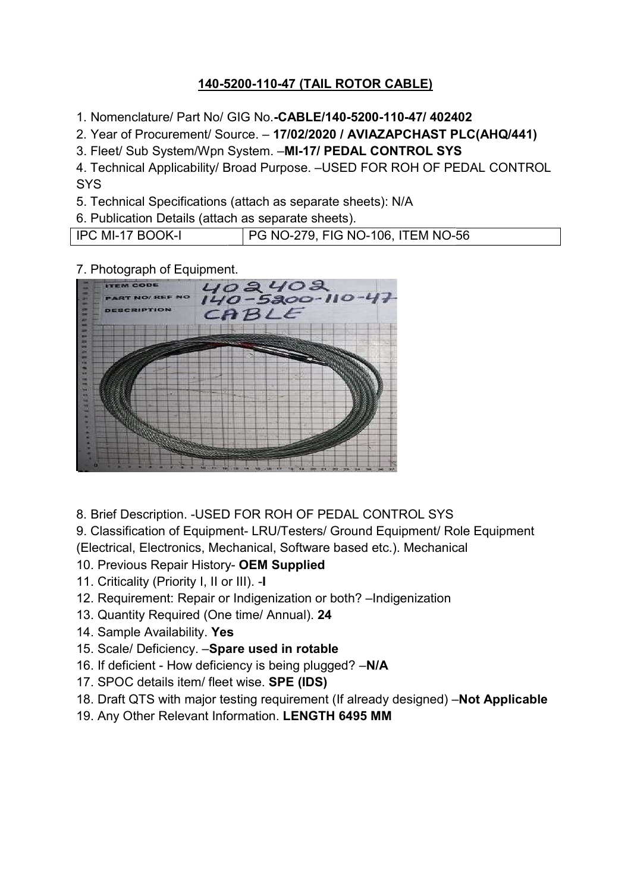## 140-5200 5200-110-47 (TAIL ROTOR CABLE)

1. Nomenclature/ Part No/ GIG No.-CABLE/140-5200-110-47/ 402402

2. Year of Procurement/ Source. - 17/02/2020 / AVIAZAPCHAST PLC(AHQ/441) 1. Nomenclature/ Part No/ GIG No.**-CABLE/140-5200-110-47/ 40240**<br>2. Year of Procurement/ Source. – **17/02/2020 / AVIAZAPCHAST PL**<br>3. Fleet/ Sub System/Wpn System. –**MI-17/ PEDAL CONTROL SYS** 

4. Technical Applicability/ Broad Purpose. –USED FOR ROH OF PEDAL CONTROL **SYS** 

6. Publication Details (attach as separate sheets).

5. Technical Specifications (attach as separate sheets): N/A<br>6. Publication Details (attach as separate sheets).<br>IPC MI-17 BOOK-I PG NO-279, FIG NO-106, ITEM NO-56 IPC MI-17 BOOK-I PG NO-279, FIG NO-106, ITEM NO-56

#### 7. Photograph of Equipment.



8. Brief Description. -USED FOR ROH OF PEDAL CONTROL SYS

9. Classification of Equipment- LRU/Testers/ Ground Equipment/ Role Equipment (Electrical, Electronics, Mechanical, Software based etc.). Mechanical<br>10. Previous Repair History- **OEM Supplied** 

- 10. Previous Repair History- OEM Supplied
- 11. Criticality (Priority I, II or III). -I
- 12. Requirement: Repair or Indigenization or both? Indigenization
- 13. Quantity Required (One time/ Annual). 24
- 14. Sample Availability. Yes
- 14. Sample Availability. **Yes**<br>15. Scale/ Deficiency. –**Spare used in rotable**
- 16. If deficient How deficiency is being plugged? -N/A
- 17. SPOC details item/ fleet wise. SPE (IDS)
- 18. Draft QTS with major testing requirement (If already designed) -Not Applicable
- 19. Any Other Relevant Information. LENGTH 6495 MM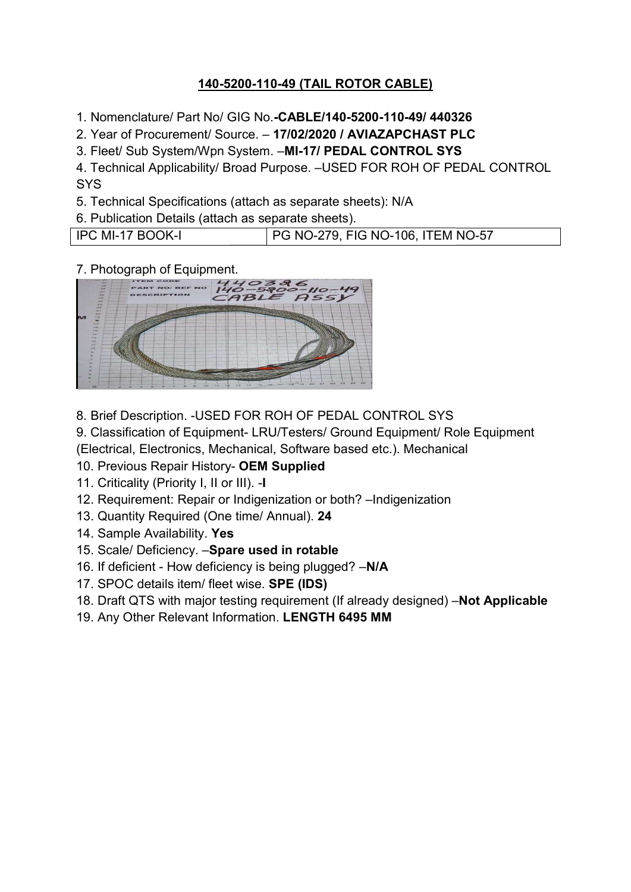## 140-5200 5200-110-49 (TAIL ROTOR CABLE)

1. Nomenclature/ Part No/ GIG No.-CABLE/140-5200-110-49/ 440326

2. Year of Procurement/ Source. - 17/02/2020 / AVIAZAPCHAST PLC 1. Nomenclature/ Part No/ GIG No.**-CABLE/140-5200-110-49/ 44032**<br>2. Year of Procurement/ Source. – **17/02/2020 / AVIAZAPCHAST PL**<br>3. Fleet/ Sub System/Wpn System. –**MI-17/ PEDAL CONTROL SYS** 

4. Technical Applicability/ Broad Purpose. –USED FOR ROH OF PEDAL CONTROL<br>SYS<br>5. Technical Specifications (attach as separate sheets): N/A<br>6. Publication Details (attach as separate sheets).<br>IPC MI-17 BOOK-I PG NO-279, FIG **SYS** 

| 5. Technical Specifications (attach as separate sheets): N/A |                                          |  |
|--------------------------------------------------------------|------------------------------------------|--|
| 6. Publication Details (attach as separate sheets).          |                                          |  |
| IPC MI-17 BOOK-I                                             | <b>PG NO-279, FIG NO-106, ITEM NO-57</b> |  |

#### 7. Photograph of Equipment.



8. Brief Description. -USED FOR ROH OF PEDAL CONTROL SYS

9. Classification of Equipment- LRU/Testers/ Ground Equipment/ Role Equipment

(Electrical, Electronics, Mechanical, Software based etc.). Mechanical

10. Previous Repair History- OEM Supplied

11. Criticality (Priority I, II or III). -I

12. Requirement: Repair or Indigenization or both? - Indigenization

- 13. Quantity Required (One time/ Annual). 24
- 14. Sample Availability. Yes
- 14. Sample Availability. **Yes**<br>15. Scale/ Deficiency. –**Spare used in rotable**
- 16. If deficient How deficiency is being plugged? -N/A
- 17. SPOC details item/ fleet wise. SPE (IDS)
- 18. Draft QTS with major testing requirement (If already designed) **Not Applicable**
- 19. Any Other Relevant Information. LENGTH 6495 MM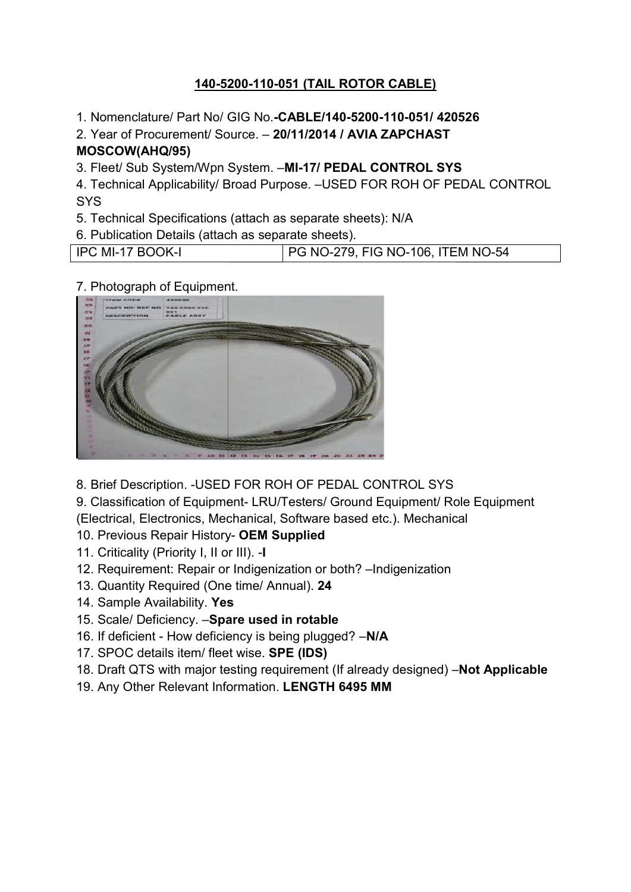## 140-5200 5200-110-051 (TAIL ROTOR CABLE)

1. Nomenclature/ Part No/ GIG No.-CABLE/140-5200-110-051/ 420526

2. Year of Procurement/ Source. - 20/11/2014 / AVIA ZAPCHAST MOSCOW(AHQ/95) 3LE/140-5200-110-051/<br>|/2014 / AVIA ZAPCHA:<br>17/ PEDAL CONTROL

3. Fleet/ Sub System/Wpn System. -MI-17/ PEDAL CONTROL SYS

4. Technical Applicability/ Broad Purpose. –USED FOR ROH OF PEDAL CONTROL<br>SYS<br>5. Technical Specifications (attach as separate sheets): N/A<br>6. Publication Details (attach as separate sheets).<br>IPC MI-17 BOOK-I PG NO-279, FIG **SYS** 

- 
- 6. Publication Details (attach as separate sheets).

| 5. Technical Specifications (attach as separate sheets): N/A |                                   |  |
|--------------------------------------------------------------|-----------------------------------|--|
| 6. Publication Details (attach as separate sheets).          |                                   |  |
| <b>IPC MI-17 BOOK-I</b>                                      | FG NO-279, FIG NO-106, ITEM NO-54 |  |

7. Photograph of Equipment.



8. Brief Description. -USED FOR ROH OF PEDAL CONTROL SYS

9. Classification of Equipment- LRU/Testers/ Ground Equipment/ Role Equipment (Electrical, Electronics, Mechanical, Software based etc.). Mechanical<br>10. Previous Repair History- **OEM Supplied** 

#### 10. Previous Repair History- OEM Supplied

- 11. Criticality (Priority I, II or III). -I
- 12. Requirement: Repair or Indigenization or both? Indigenization
- 13. Quantity Required (One time/ Annual). 24
- 14. Sample Availability. Yes
- 14. Sample Availability. **Yes**<br>15. Scale/ Deficiency. –**Spare used in rotable**
- 16. If deficient How deficiency is being plugged? -N/A
- 17. SPOC details item/ fleet wise. SPE (IDS)
- 18. Draft QTS with major testing requirement (If already designed) **Not Applicable**
- 19. Any Other Relevant Information. LENGTH 6495 MM